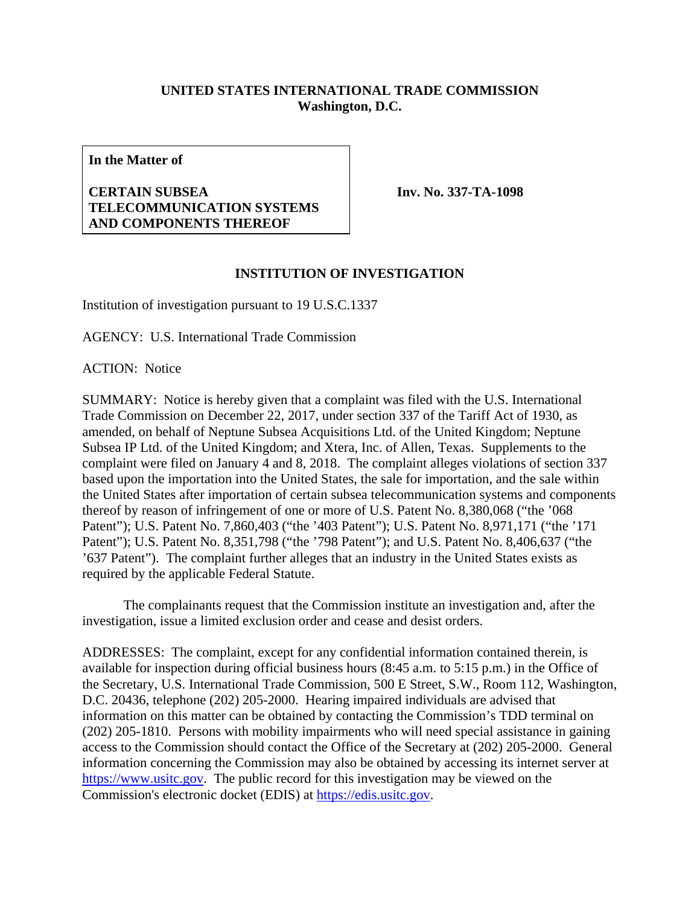## **UNITED STATES INTERNATIONAL TRADE COMMISSION Washington, D.C.**

**In the Matter of** 

## **CERTAIN SUBSEA TELECOMMUNICATION SYSTEMS AND COMPONENTS THEREOF**

**Inv. No. 337-TA-1098**

## **INSTITUTION OF INVESTIGATION**

Institution of investigation pursuant to 19 U.S.C.1337

AGENCY: U.S. International Trade Commission

ACTION: Notice

SUMMARY: Notice is hereby given that a complaint was filed with the U.S. International Trade Commission on December 22, 2017, under section 337 of the Tariff Act of 1930, as amended, on behalf of Neptune Subsea Acquisitions Ltd. of the United Kingdom; Neptune Subsea IP Ltd. of the United Kingdom; and Xtera, Inc. of Allen, Texas. Supplements to the complaint were filed on January 4 and 8, 2018. The complaint alleges violations of section 337 based upon the importation into the United States, the sale for importation, and the sale within the United States after importation of certain subsea telecommunication systems and components thereof by reason of infringement of one or more of U.S. Patent No. 8,380,068 ("the '068 Patent"); U.S. Patent No. 7,860,403 ("the '403 Patent"); U.S. Patent No. 8,971,171 ("the '171 Patent"); U.S. Patent No. 8,351,798 ("the '798 Patent"); and U.S. Patent No. 8,406,637 ("the '637 Patent"). The complaint further alleges that an industry in the United States exists as required by the applicable Federal Statute.

 The complainants request that the Commission institute an investigation and, after the investigation, issue a limited exclusion order and cease and desist orders.

ADDRESSES: The complaint, except for any confidential information contained therein, is available for inspection during official business hours (8:45 a.m. to 5:15 p.m.) in the Office of the Secretary, U.S. International Trade Commission, 500 E Street, S.W., Room 112, Washington, D.C. 20436, telephone (202) 205-2000. Hearing impaired individuals are advised that information on this matter can be obtained by contacting the Commission's TDD terminal on (202) 205-1810. Persons with mobility impairments who will need special assistance in gaining access to the Commission should contact the Office of the Secretary at (202) 205-2000. General information concerning the Commission may also be obtained by accessing its internet server at https://www.usitc.gov. The public record for this investigation may be viewed on the Commission's electronic docket (EDIS) at https://edis.usitc.gov.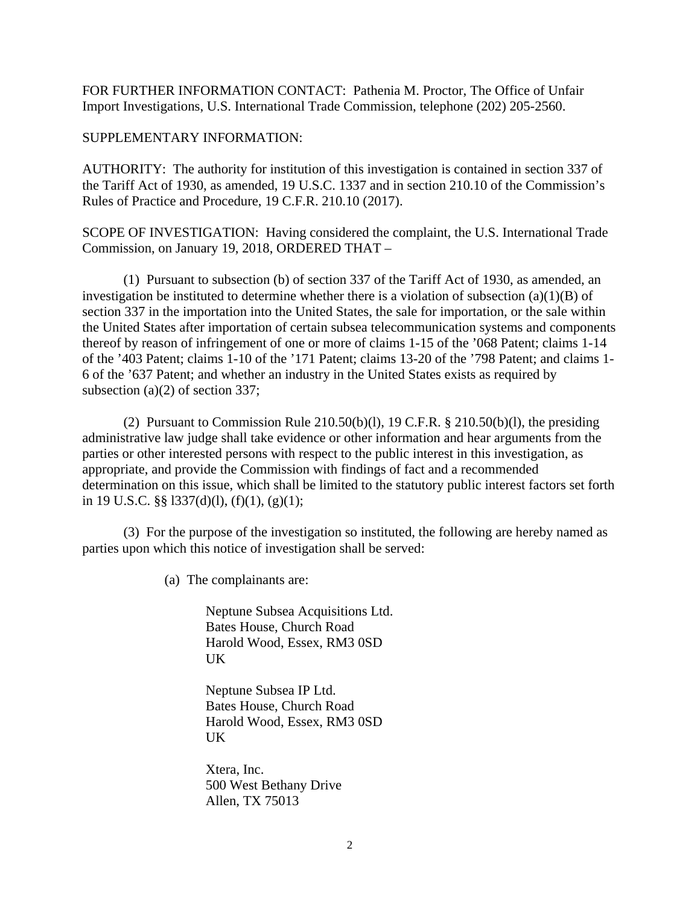FOR FURTHER INFORMATION CONTACT: Pathenia M. Proctor, The Office of Unfair Import Investigations, U.S. International Trade Commission, telephone (202) 205-2560.

## SUPPLEMENTARY INFORMATION:

AUTHORITY: The authority for institution of this investigation is contained in section 337 of the Tariff Act of 1930, as amended, 19 U.S.C. 1337 and in section 210.10 of the Commission's Rules of Practice and Procedure, 19 C.F.R. 210.10 (2017).

SCOPE OF INVESTIGATION: Having considered the complaint, the U.S. International Trade Commission, on January 19, 2018, ORDERED THAT –

(1) Pursuant to subsection (b) of section 337 of the Tariff Act of 1930, as amended, an investigation be instituted to determine whether there is a violation of subsection  $(a)(1)(B)$  of section 337 in the importation into the United States, the sale for importation, or the sale within the United States after importation of certain subsea telecommunication systems and components thereof by reason of infringement of one or more of claims 1-15 of the '068 Patent; claims 1-14 of the '403 Patent; claims 1-10 of the '171 Patent; claims 13-20 of the '798 Patent; and claims 1- 6 of the '637 Patent; and whether an industry in the United States exists as required by subsection (a)(2) of section 337;

(2) Pursuant to Commission Rule 210.50(b)(l), 19 C.F.R.  $\S$  210.50(b)(l), the presiding administrative law judge shall take evidence or other information and hear arguments from the parties or other interested persons with respect to the public interest in this investigation, as appropriate, and provide the Commission with findings of fact and a recommended determination on this issue, which shall be limited to the statutory public interest factors set forth in 19 U.S.C. §§ l337(d)(l), (f)(1), (g)(1);

 (3) For the purpose of the investigation so instituted, the following are hereby named as parties upon which this notice of investigation shall be served:

(a) The complainants are:

Neptune Subsea Acquisitions Ltd. Bates House, Church Road Harold Wood, Essex, RM3 0SD UK

Neptune Subsea IP Ltd. Bates House, Church Road Harold Wood, Essex, RM3 0SD UK

Xtera, Inc. 500 West Bethany Drive Allen, TX 75013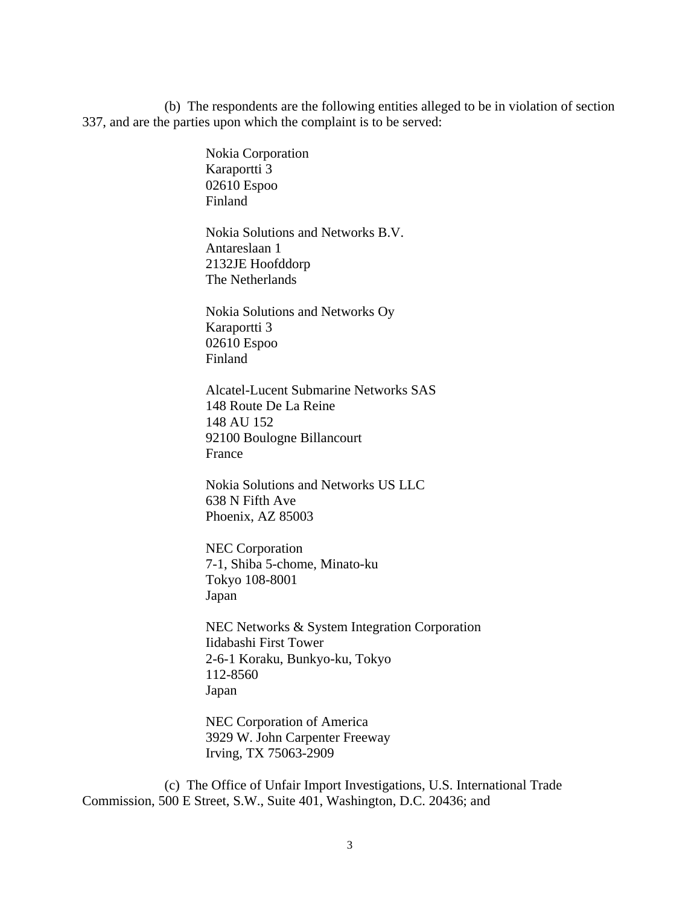(b) The respondents are the following entities alleged to be in violation of section 337, and are the parties upon which the complaint is to be served:

> Nokia Corporation Karaportti 3 02610 Espoo Finland

Nokia Solutions and Networks B.V. Antareslaan 1 2132JE Hoofddorp The Netherlands

Nokia Solutions and Networks Oy Karaportti 3 02610 Espoo Finland

Alcatel-Lucent Submarine Networks SAS 148 Route De La Reine 148 AU 152 92100 Boulogne Billancourt France

Nokia Solutions and Networks US LLC 638 N Fifth Ave Phoenix, AZ 85003

NEC Corporation 7-1, Shiba 5-chome, Minato-ku Tokyo 108-8001 Japan

NEC Networks & System Integration Corporation Iidabashi First Tower 2-6-1 Koraku, Bunkyo-ku, Tokyo 112-8560 Japan

NEC Corporation of America 3929 W. John Carpenter Freeway Irving, TX 75063-2909

 (c) The Office of Unfair Import Investigations, U.S. International Trade Commission, 500 E Street, S.W., Suite 401, Washington, D.C. 20436; and